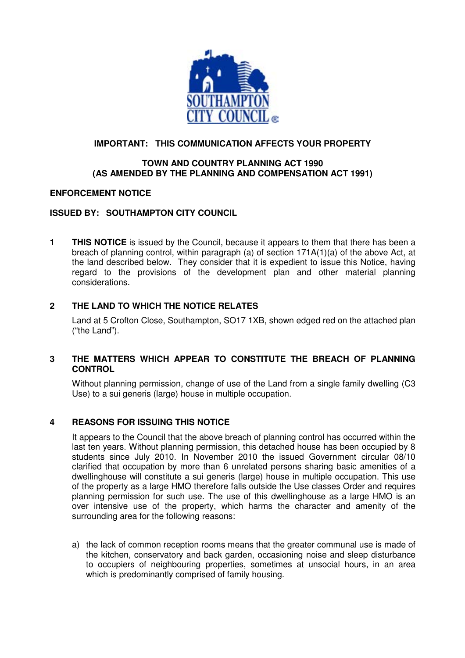

# **IMPORTANT: THIS COMMUNICATION AFFECTS YOUR PROPERTY**

### **TOWN AND COUNTRY PLANNING ACT 1990 (AS AMENDED BY THE PLANNING AND COMPENSATION ACT 1991)**

#### **ENFORCEMENT NOTICE**

# **ISSUED BY: SOUTHAMPTON CITY COUNCIL**

**1 THIS NOTICE** is issued by the Council, because it appears to them that there has been a breach of planning control, within paragraph (a) of section 171A(1)(a) of the above Act, at the land described below. They consider that it is expedient to issue this Notice, having regard to the provisions of the development plan and other material planning considerations.

### **2 THE LAND TO WHICH THE NOTICE RELATES**

Land at 5 Crofton Close, Southampton, SO17 1XB, shown edged red on the attached plan ("the Land").

### **3 THE MATTERS WHICH APPEAR TO CONSTITUTE THE BREACH OF PLANNING CONTROL**

Without planning permission, change of use of the Land from a single family dwelling (C3 Use) to a sui generis (large) house in multiple occupation.

### **4 REASONS FOR ISSUING THIS NOTICE**

It appears to the Council that the above breach of planning control has occurred within the last ten years. Without planning permission, this detached house has been occupied by 8 students since July 2010. In November 2010 the issued Government circular 08/10 clarified that occupation by more than 6 unrelated persons sharing basic amenities of a dwellinghouse will constitute a sui generis (large) house in multiple occupation. This use of the property as a large HMO therefore falls outside the Use classes Order and requires planning permission for such use. The use of this dwellinghouse as a large HMO is an over intensive use of the property, which harms the character and amenity of the surrounding area for the following reasons:

a) the lack of common reception rooms means that the greater communal use is made of the kitchen, conservatory and back garden, occasioning noise and sleep disturbance to occupiers of neighbouring properties, sometimes at unsocial hours, in an area which is predominantly comprised of family housing.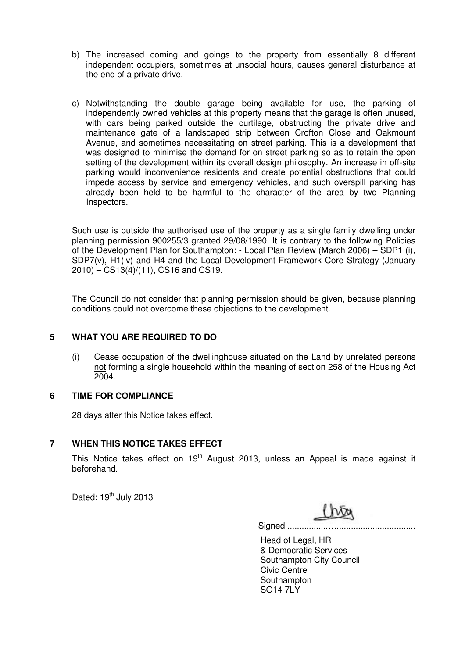- b) The increased coming and goings to the property from essentially 8 different independent occupiers, sometimes at unsocial hours, causes general disturbance at the end of a private drive.
- c) Notwithstanding the double garage being available for use, the parking of independently owned vehicles at this property means that the garage is often unused, with cars being parked outside the curtilage, obstructing the private drive and maintenance gate of a landscaped strip between Crofton Close and Oakmount Avenue, and sometimes necessitating on street parking. This is a development that was designed to minimise the demand for on street parking so as to retain the open setting of the development within its overall design philosophy. An increase in off-site parking would inconvenience residents and create potential obstructions that could impede access by service and emergency vehicles, and such overspill parking has already been held to be harmful to the character of the area by two Planning Inspectors.

Such use is outside the authorised use of the property as a single family dwelling under planning permission 900255/3 granted 29/08/1990. It is contrary to the following Policies of the Development Plan for Southampton: - Local Plan Review (March 2006) – SDP1 (i), SDP7(v), H1(iv) and H4 and the Local Development Framework Core Strategy (January 2010) – CS13(4)/(11), CS16 and CS19.

The Council do not consider that planning permission should be given, because planning conditions could not overcome these objections to the development.

### **5 WHAT YOU ARE REQUIRED TO DO**

(i) Cease occupation of the dwellinghouse situated on the Land by unrelated persons not forming a single household within the meaning of section 258 of the Housing Act 2004.

### **6 TIME FOR COMPLIANCE**

28 days after this Notice takes effect.

### **7 WHEN THIS NOTICE TAKES EFFECT**

This Notice takes effect on  $19<sup>th</sup>$  August 2013, unless an Appeal is made against it beforehand.

Dated: 19<sup>th</sup> July 2013

Signed .................….................................

Head of Legal, HR & Democratic Services Southampton City Council Civic Centre **Southampton** SO14 7LY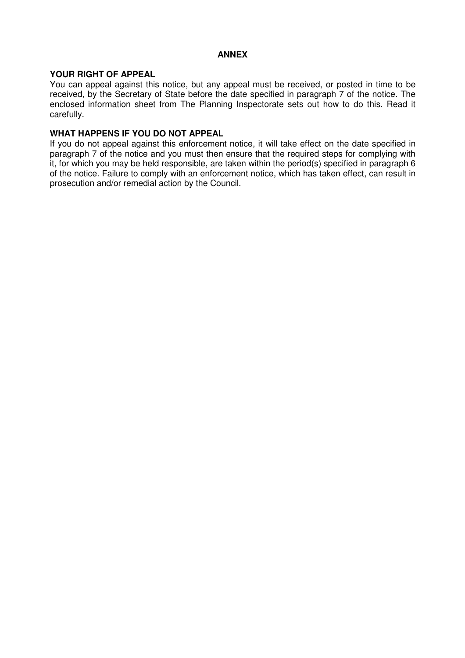### **ANNEX**

# **YOUR RIGHT OF APPEAL**

You can appeal against this notice, but any appeal must be received, or posted in time to be received, by the Secretary of State before the date specified in paragraph 7 of the notice. The enclosed information sheet from The Planning Inspectorate sets out how to do this. Read it carefully.

#### **WHAT HAPPENS IF YOU DO NOT APPEAL**

If you do not appeal against this enforcement notice, it will take effect on the date specified in paragraph 7 of the notice and you must then ensure that the required steps for complying with it, for which you may be held responsible, are taken within the period(s) specified in paragraph 6 of the notice. Failure to comply with an enforcement notice, which has taken effect, can result in prosecution and/or remedial action by the Council.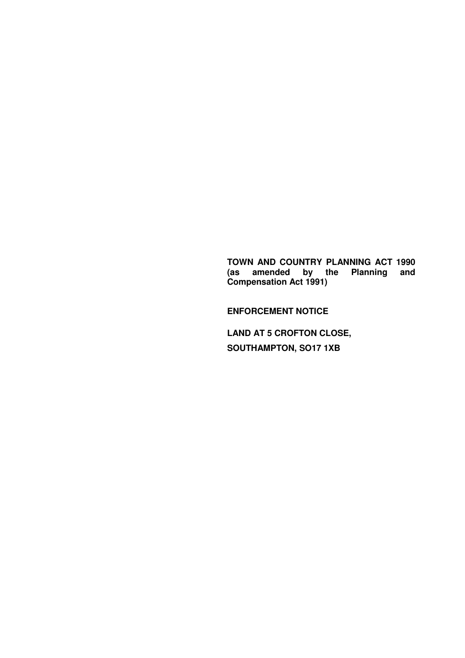**TOWN AND COUNTRY PLANNING ACT 1990 (as amended by the Planning and Compensation Act 1991)** 

**ENFORCEMENT NOTICE** 

**LAND AT 5 CROFTON CLOSE, SOUTHAMPTON, SO17 1XB**